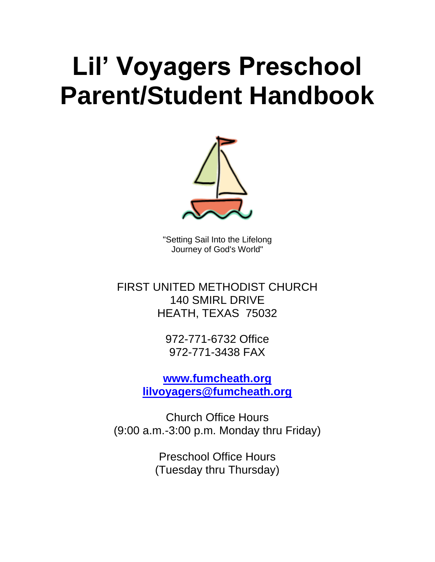# **Lil' Voyagers Preschool Parent/Student Handbook**



"Setting Sail Into the Lifelong Journey of God's World"

FIRST UNITED METHODIST CHURCH 140 SMIRL DRIVE HEATH, TEXAS 75032

> 972-771-6732 Office 972-771-3438 FAX

**[www.fumcheath.org](http://www.fumcheath.org/) [lilvoyagers@fumcheath.org](mailto:lilvoyagers@fumcheath.org)**

Church Office Hours (9:00 a.m.-3:00 p.m. Monday thru Friday)

> Preschool Office Hours (Tuesday thru Thursday)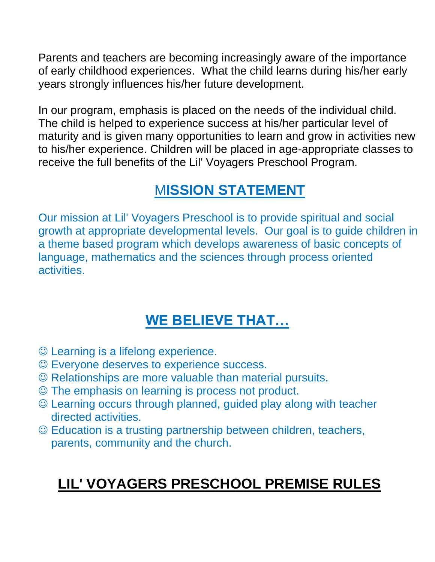Parents and teachers are becoming increasingly aware of the importance of early childhood experiences. What the child learns during his/her early years strongly influences his/her future development.

In our program, emphasis is placed on the needs of the individual child. The child is helped to experience success at his/her particular level of maturity and is given many opportunities to learn and grow in activities new to his/her experience. Children will be placed in age-appropriate classes to receive the full benefits of the Lil' Voyagers Preschool Program.

# M**ISSION STATEMENT**

Our mission at Lil' Voyagers Preschool is to provide spiritual and social growth at appropriate developmental levels. Our goal is to guide children in a theme based program which develops awareness of basic concepts of language, mathematics and the sciences through process oriented activities.

# **WE BELIEVE THAT…**

- ☺ Learning is a lifelong experience.
- ☺ Everyone deserves to experience success.
- ☺ Relationships are more valuable than material pursuits.
- ☺ The emphasis on learning is process not product.
- ☺ Learning occurs through planned, guided play along with teacher directed activities.
- ☺ Education is a trusting partnership between children, teachers, parents, community and the church.

# **LIL' VOYAGERS PRESCHOOL PREMISE RULES**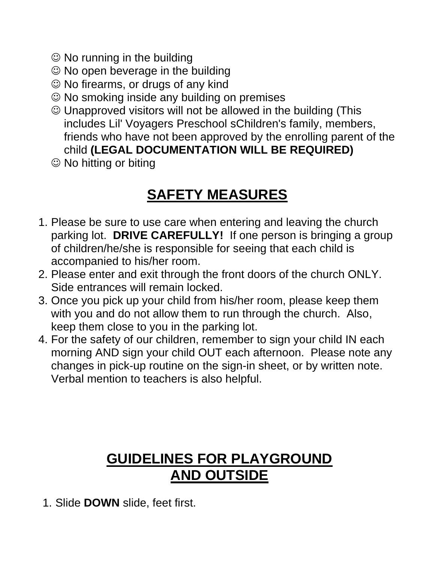- ☺ No running in the building
- ☺ No open beverage in the building
- ☺ No firearms, or drugs of any kind
- ☺ No smoking inside any building on premises
- ☺ Unapproved visitors will not be allowed in the building (This includes Lil' Voyagers Preschool sChildren's family, members, friends who have not been approved by the enrolling parent of the child **(LEGAL DOCUMENTATION WILL BE REQUIRED)**
- ☺ No hitting or biting

# **SAFETY MEASURES**

- 1. Please be sure to use care when entering and leaving the church parking lot. **DRIVE CAREFULLY!** If one person is bringing a group of children/he/she is responsible for seeing that each child is accompanied to his/her room.
- 2. Please enter and exit through the front doors of the church ONLY. Side entrances will remain locked.
- 3. Once you pick up your child from his/her room, please keep them with you and do not allow them to run through the church. Also, keep them close to you in the parking lot.
- 4. For the safety of our children, remember to sign your child IN each morning AND sign your child OUT each afternoon. Please note any changes in pick-up routine on the sign-in sheet, or by written note. Verbal mention to teachers is also helpful.

#### **GUIDELINES FOR PLAYGROUND AND OUTSIDE**

1. Slide **DOWN** slide, feet first.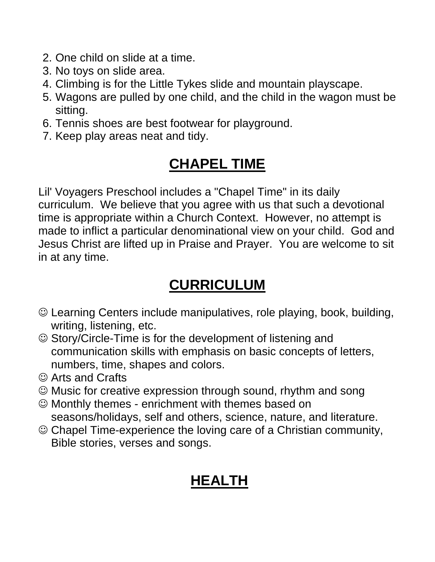- 2. One child on slide at a time.
- 3. No toys on slide area.
- 4. Climbing is for the Little Tykes slide and mountain playscape.
- 5. Wagons are pulled by one child, and the child in the wagon must be sitting.
- 6. Tennis shoes are best footwear for playground.
- 7. Keep play areas neat and tidy.

# **CHAPEL TIME**

Lil' Voyagers Preschool includes a "Chapel Time" in its daily curriculum. We believe that you agree with us that such a devotional time is appropriate within a Church Context. However, no attempt is made to inflict a particular denominational view on your child. God and Jesus Christ are lifted up in Praise and Prayer. You are welcome to sit in at any time.

# **CURRICULUM**

- ☺ Learning Centers include manipulatives, role playing, book, building, writing, listening, etc.
- ☺ Story/Circle-Time is for the development of listening and communication skills with emphasis on basic concepts of letters, numbers, time, shapes and colors.
- ☺ Arts and Crafts
- ☺ Music for creative expression through sound, rhythm and song
- ☺ Monthly themes enrichment with themes based on seasons/holidays, self and others, science, nature, and literature.
- ☺ Chapel Time-experience the loving care of a Christian community, Bible stories, verses and songs.

# **HEALTH**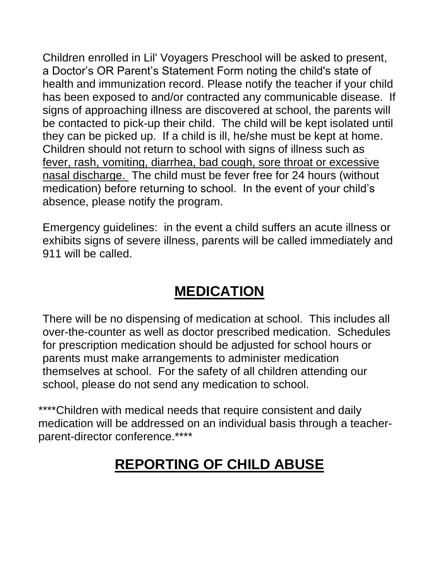Children enrolled in Lil' Voyagers Preschool will be asked to present, a Doctor's OR Parent's Statement Form noting the child's state of health and immunization record. Please notify the teacher if your child has been exposed to and/or contracted any communicable disease. If signs of approaching illness are discovered at school, the parents will be contacted to pick-up their child. The child will be kept isolated until they can be picked up. If a child is ill, he/she must be kept at home. Children should not return to school with signs of illness such as fever, rash, vomiting, diarrhea, bad cough, sore throat or excessive nasal discharge. The child must be fever free for 24 hours (without medication) before returning to school. In the event of your child's absence, please notify the program.

Emergency guidelines: in the event a child suffers an acute illness or exhibits signs of severe illness, parents will be called immediately and 911 will be called.

## **MEDICATION**

There will be no dispensing of medication at school. This includes all over-the-counter as well as doctor prescribed medication. Schedules for prescription medication should be adjusted for school hours or parents must make arrangements to administer medication themselves at school. For the safety of all children attending our school, please do not send any medication to school.

\*\*\*\*Children with medical needs that require consistent and daily medication will be addressed on an individual basis through a teacherparent-director conference.\*\*\*\*

# **REPORTING OF CHILD ABUSE**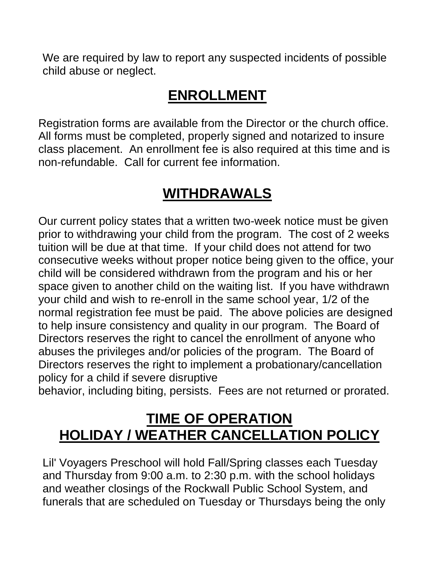We are required by law to report any suspected incidents of possible child abuse or neglect.

#### **ENROLLMENT**

Registration forms are available from the Director or the church office. All forms must be completed, properly signed and notarized to insure class placement. An enrollment fee is also required at this time and is non-refundable. Call for current fee information.

#### **WITHDRAWALS**

Our current policy states that a written two-week notice must be given prior to withdrawing your child from the program. The cost of 2 weeks tuition will be due at that time. If your child does not attend for two consecutive weeks without proper notice being given to the office, your child will be considered withdrawn from the program and his or her space given to another child on the waiting list. If you have withdrawn your child and wish to re-enroll in the same school year, 1/2 of the normal registration fee must be paid. The above policies are designed to help insure consistency and quality in our program. The Board of Directors reserves the right to cancel the enrollment of anyone who abuses the privileges and/or policies of the program. The Board of Directors reserves the right to implement a probationary/cancellation policy for a child if severe disruptive

behavior, including biting, persists. Fees are not returned or prorated.

#### **TIME OF OPERATION HOLIDAY / WEATHER CANCELLATION POLICY**

Lil' Voyagers Preschool will hold Fall/Spring classes each Tuesday and Thursday from 9:00 a.m. to 2:30 p.m. with the school holidays and weather closings of the Rockwall Public School System, and funerals that are scheduled on Tuesday or Thursdays being the only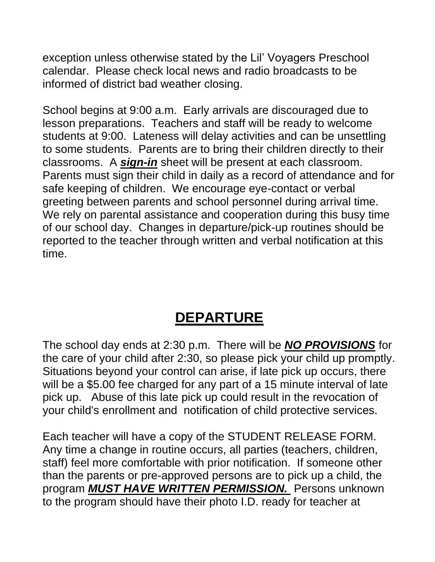exception unless otherwise stated by the Lil' Voyagers Preschool calendar. Please check local news and radio broadcasts to be informed of district bad weather closing.

School begins at 9:00 a.m. Early arrivals are discouraged due to lesson preparations. Teachers and staff will be ready to welcome students at 9:00. Lateness will delay activities and can be unsettling to some students. Parents are to bring their children directly to their classrooms. A *sign-in* sheet will be present at each classroom. Parents must sign their child in daily as a record of attendance and for safe keeping of children. We encourage eye-contact or verbal greeting between parents and school personnel during arrival time. We rely on parental assistance and cooperation during this busy time of our school day. Changes in departure/pick-up routines should be reported to the teacher through written and verbal notification at this time.

#### **DEPARTURE**

The school day ends at 2:30 p.m. There will be *NO PROVISIONS* for the care of your child after 2:30, so please pick your child up promptly. Situations beyond your control can arise, if late pick up occurs, there will be a \$5.00 fee charged for any part of a 15 minute interval of late pick up. Abuse of this late pick up could result in the revocation of your child's enrollment and notification of child protective services.

Each teacher will have a copy of the STUDENT RELEASE FORM. Any time a change in routine occurs, all parties (teachers, children, staff) feel more comfortable with prior notification. If someone other than the parents or pre-approved persons are to pick up a child, the program *MUST HAVE WRITTEN PERMISSION.* Persons unknown to the program should have their photo I.D. ready for teacher at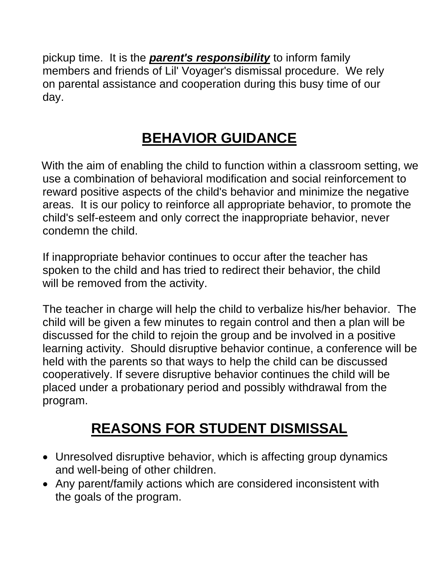pickup time. It is the *parent's responsibility* to inform family members and friends of Lil' Voyager's dismissal procedure. We rely on parental assistance and cooperation during this busy time of our day.

# **BEHAVIOR GUIDANCE**

With the aim of enabling the child to function within a classroom setting, we use a combination of behavioral modification and social reinforcement to reward positive aspects of the child's behavior and minimize the negative areas. It is our policy to reinforce all appropriate behavior, to promote the child's self-esteem and only correct the inappropriate behavior, never condemn the child.

If inappropriate behavior continues to occur after the teacher has spoken to the child and has tried to redirect their behavior, the child will be removed from the activity.

The teacher in charge will help the child to verbalize his/her behavior. The child will be given a few minutes to regain control and then a plan will be discussed for the child to rejoin the group and be involved in a positive learning activity. Should disruptive behavior continue, a conference will be held with the parents so that ways to help the child can be discussed cooperatively. If severe disruptive behavior continues the child will be placed under a probationary period and possibly withdrawal from the program.

# **REASONS FOR STUDENT DISMISSAL**

- Unresolved disruptive behavior, which is affecting group dynamics and well-being of other children.
- Any parent/family actions which are considered inconsistent with the goals of the program.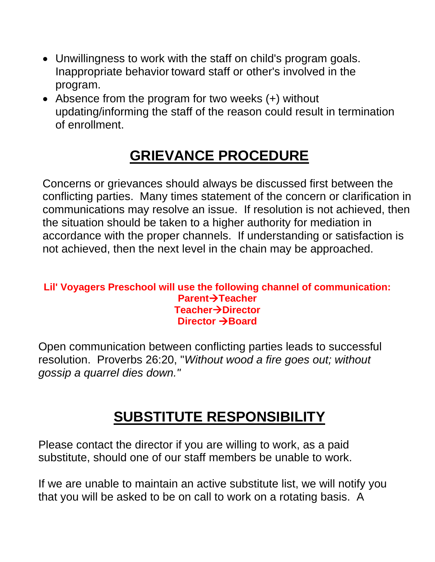- Unwillingness to work with the staff on child's program goals. Inappropriate behavior toward staff or other's involved in the program.
- Absence from the program for two weeks (+) without updating/informing the staff of the reason could result in termination of enrollment.

# **GRIEVANCE PROCEDURE**

Concerns or grievances should always be discussed first between the conflicting parties. Many times statement of the concern or clarification in communications may resolve an issue. If resolution is not achieved, then the situation should be taken to a higher authority for mediation in accordance with the proper channels. If understanding or satisfaction is not achieved, then the next level in the chain may be approached.

#### **Lil' Voyagers Preschool will use the following channel of communication: Parent**→**Teacher Teacher**→**Director Director** →**Board**

Open communication between conflicting parties leads to successful resolution. Proverbs 26:20, "*Without wood a fire goes out; without gossip a quarrel dies down."*

## **SUBSTITUTE RESPONSIBILITY**

Please contact the director if you are willing to work, as a paid substitute, should one of our staff members be unable to work.

If we are unable to maintain an active substitute list, we will notify you that you will be asked to be on call to work on a rotating basis. A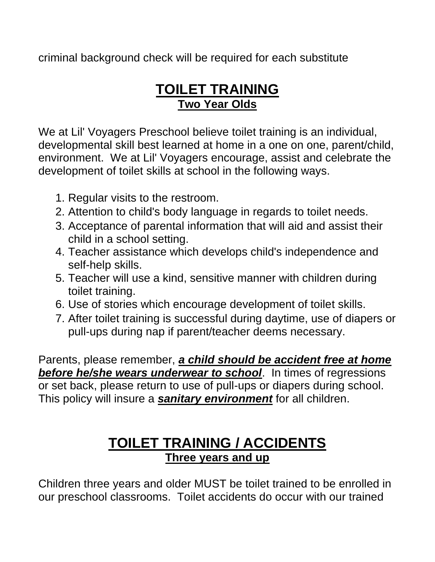criminal background check will be required for each substitute

#### **TOILET TRAINING Two Year Olds**

We at Lil' Voyagers Preschool believe toilet training is an individual, developmental skill best learned at home in a one on one, parent/child, environment. We at Lil' Voyagers encourage, assist and celebrate the development of toilet skills at school in the following ways.

- 1. Regular visits to the restroom.
- 2. Attention to child's body language in regards to toilet needs.
- 3. Acceptance of parental information that will aid and assist their child in a school setting.
- 4. Teacher assistance which develops child's independence and self-help skills.
- 5. Teacher will use a kind, sensitive manner with children during toilet training.
- 6. Use of stories which encourage development of toilet skills.
- 7. After toilet training is successful during daytime, use of diapers or pull-ups during nap if parent/teacher deems necessary.

Parents, please remember, *a child should be accident free at home before he/she wears underwear to school*. In times of regressions or set back, please return to use of pull-ups or diapers during school. This policy will insure a *sanitary environment* for all children.

#### **TOILET TRAINING / ACCIDENTS Three years and up**

Children three years and older MUST be toilet trained to be enrolled in our preschool classrooms. Toilet accidents do occur with our trained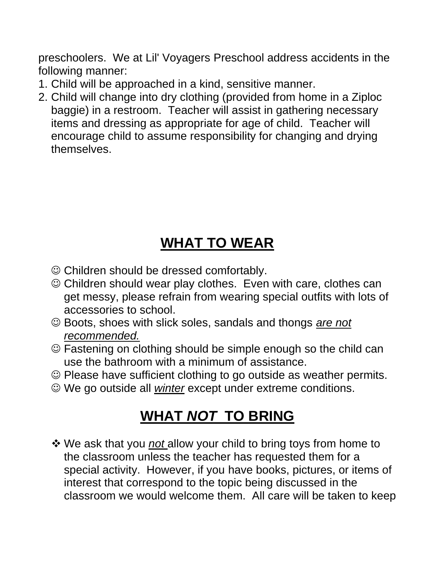preschoolers. We at Lil' Voyagers Preschool address accidents in the following manner:

- 1. Child will be approached in a kind, sensitive manner.
- 2. Child will change into dry clothing (provided from home in a Ziploc baggie) in a restroom. Teacher will assist in gathering necessary items and dressing as appropriate for age of child. Teacher will encourage child to assume responsibility for changing and drying themselves.

# **WHAT TO WEAR**

- ☺ Children should be dressed comfortably.
- ☺ Children should wear play clothes. Even with care, clothes can get messy, please refrain from wearing special outfits with lots of accessories to school.
- ☺ Boots, shoes with slick soles, sandals and thongs *are not recommended.*
- ☺ Fastening on clothing should be simple enough so the child can use the bathroom with a minimum of assistance.
- ☺ Please have sufficient clothing to go outside as weather permits.
- ☺ We go outside all *winter* except under extreme conditions.

# **WHAT** *NOT* **TO BRING**

❖ We ask that you *not* allow your child to bring toys from home to the classroom unless the teacher has requested them for a special activity. However, if you have books, pictures, or items of interest that correspond to the topic being discussed in the classroom we would welcome them. All care will be taken to keep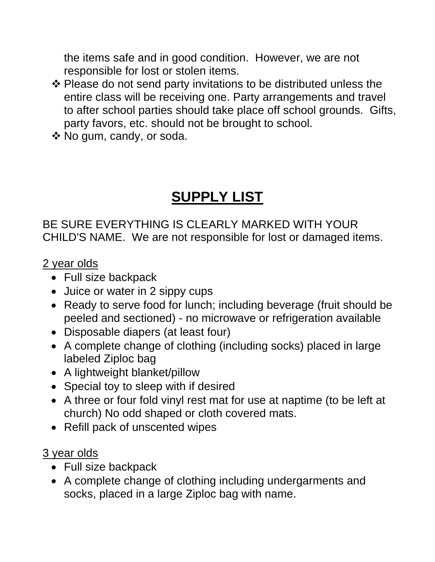the items safe and in good condition. However, we are not responsible for lost or stolen items.

- ❖ Please do not send party invitations to be distributed unless the entire class will be receiving one. Party arrangements and travel to after school parties should take place off school grounds. Gifts, party favors, etc. should not be brought to school.
- ❖ No gum, candy, or soda.

# **SUPPLY LIST**

BE SURE EVERYTHING IS CLEARLY MARKED WITH YOUR CHILD'S NAME. We are not responsible for lost or damaged items.

2 year olds

- Full size backpack
- Juice or water in 2 sippy cups
- Ready to serve food for lunch; including beverage (fruit should be peeled and sectioned) - no microwave or refrigeration available
- Disposable diapers (at least four)
- A complete change of clothing (including socks) placed in large labeled Ziploc bag
- A lightweight blanket/pillow
- Special toy to sleep with if desired
- A three or four fold vinyl rest mat for use at naptime (to be left at church) No odd shaped or cloth covered mats.
- Refill pack of unscented wipes

#### 3 year olds

- Full size backpack
- A complete change of clothing including undergarments and socks, placed in a large Ziploc bag with name.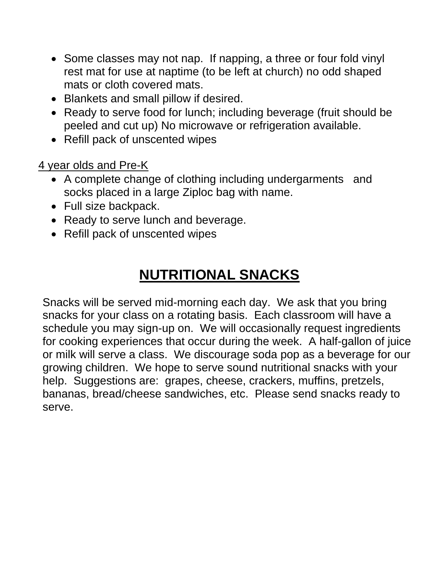- Some classes may not nap. If napping, a three or four fold vinyl rest mat for use at naptime (to be left at church) no odd shaped mats or cloth covered mats.
- Blankets and small pillow if desired.
- Ready to serve food for lunch; including beverage (fruit should be peeled and cut up) No microwave or refrigeration available.
- Refill pack of unscented wipes

4 year olds and Pre-K

- A complete change of clothing including undergarments and socks placed in a large Ziploc bag with name.
- Full size backpack.
- Ready to serve lunch and beverage.
- Refill pack of unscented wipes

# **NUTRITIONAL SNACKS**

Snacks will be served mid-morning each day. We ask that you bring snacks for your class on a rotating basis. Each classroom will have a schedule you may sign-up on. We will occasionally request ingredients for cooking experiences that occur during the week. A half-gallon of juice or milk will serve a class. We discourage soda pop as a beverage for our growing children. We hope to serve sound nutritional snacks with your help. Suggestions are: grapes, cheese, crackers, muffins, pretzels, bananas, bread/cheese sandwiches, etc. Please send snacks ready to serve.